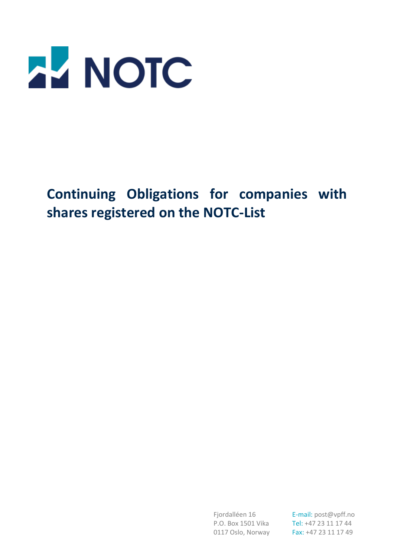

**Continuing Obligations for companies with shares registered on the NOTC-List**

Fjordalléen 16 **E-mail:** post@vpff.no P.O. Box 1501 Vika Tel: +47 23 11 17 44 0117 Oslo, Norway Fax: +47 23 11 17 49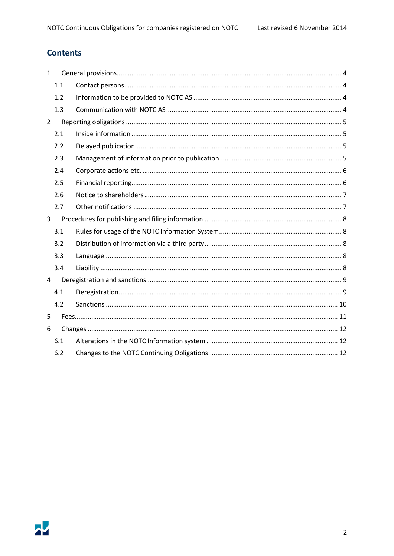# **Contents**

| $\mathbf{1}$   |     |  |  |
|----------------|-----|--|--|
|                | 1.1 |  |  |
|                | 1.2 |  |  |
|                | 1.3 |  |  |
| $\overline{2}$ |     |  |  |
|                | 2.1 |  |  |
|                | 2.2 |  |  |
|                | 2.3 |  |  |
|                | 2.4 |  |  |
|                | 2.5 |  |  |
|                | 2.6 |  |  |
|                | 2.7 |  |  |
| 3              |     |  |  |
|                | 3.1 |  |  |
|                | 3.2 |  |  |
|                | 3.3 |  |  |
|                | 3.4 |  |  |
| 4              |     |  |  |
|                | 4.1 |  |  |
|                | 4.2 |  |  |
| 5              |     |  |  |
| 6              |     |  |  |
|                | 6.1 |  |  |
|                | 6.2 |  |  |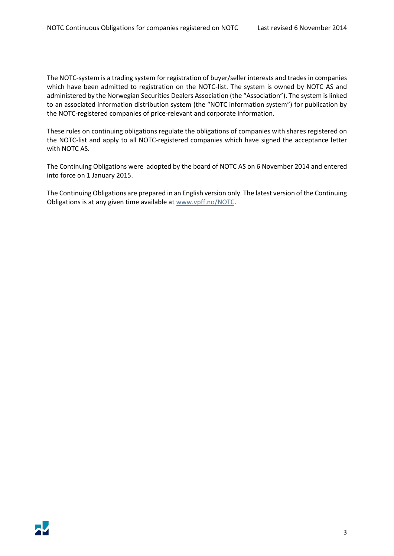The NOTC-system is a trading system for registration of buyer/seller interests and trades in companies which have been admitted to registration on the NOTC-list. The system is owned by NOTC AS and administered by the Norwegian Securities Dealers Association (the "Association"). The system is linked to an associated information distribution system (the "NOTC information system") for publication by the NOTC-registered companies of price-relevant and corporate information.

These rules on continuing obligations regulate the obligations of companies with shares registered on the NOTC-list and apply to all NOTC-registered companies which have signed the acceptance letter with NOTC AS.

The Continuing Obligations were adopted by the board of NOTC AS on 6 November 2014 and entered into force on 1 January 2015.

The Continuing Obligations are prepared in an English version only. The latest version of the Continuing Obligations is at any given time available at [www.vpff.no/NOTC.](http://www.vpff.no/NOTC)

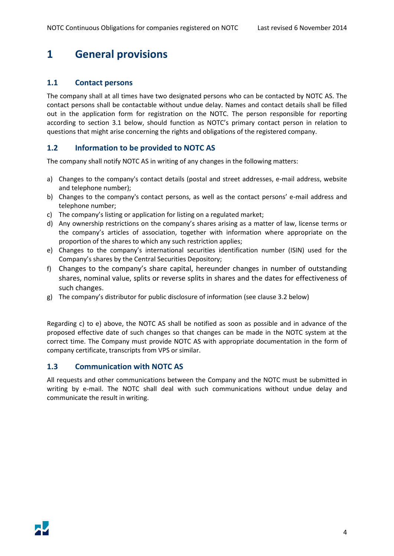# <span id="page-3-0"></span>**1 General provisions**

### <span id="page-3-1"></span>**1.1 Contact persons**

The company shall at all times have two designated persons who can be contacted by NOTC AS. The contact persons shall be contactable without undue delay. Names and contact details shall be filled out in the application form for registration on the NOTC. The person responsible for reporting according to section 3.1 below, should function as NOTC's primary contact person in relation to questions that might arise concerning the rights and obligations of the registered company.

### <span id="page-3-2"></span>**1.2 Information to be provided to NOTC AS**

The company shall notify NOTC AS in writing of any changes in the following matters:

- a) Changes to the company's contact details (postal and street addresses, e-mail address, website and telephone number);
- b) Changes to the company's contact persons, as well as the contact persons' e-mail address and telephone number;
- c) The company's listing or application for listing on a regulated market;
- d) Any ownership restrictions on the company's shares arising as a matter of law, license terms or the company's articles of association, together with information where appropriate on the proportion of the shares to which any such restriction applies;
- e) Changes to the company's international securities identification number (ISIN) used for the Company's shares by the Central Securities Depository;
- f) Changes to the company's share capital, hereunder changes in number of outstanding shares, nominal value, splits or reverse splits in shares and the dates for effectiveness of such changes.
- g) The company's distributor for public disclosure of information (see clause 3.2 below)

Regarding c) to e) above, the NOTC AS shall be notified as soon as possible and in advance of the proposed effective date of such changes so that changes can be made in the NOTC system at the correct time. The Company must provide NOTC AS with appropriate documentation in the form of company certificate, transcripts from VPS or similar.

### <span id="page-3-3"></span>**1.3 Communication with NOTC AS**

All requests and other communications between the Company and the NOTC must be submitted in writing by e-mail. The NOTC shall deal with such communications without undue delay and communicate the result in writing.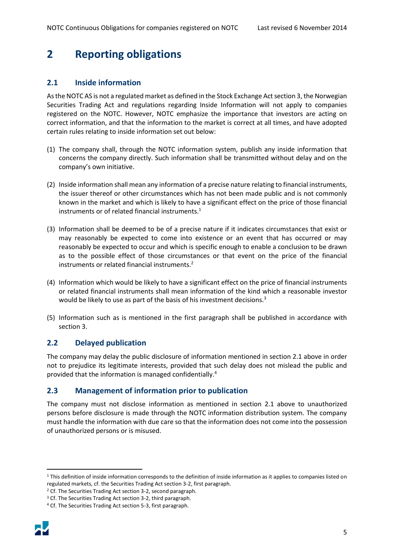# <span id="page-4-0"></span>**2 Reporting obligations**

### <span id="page-4-1"></span>**2.1 Inside information**

As the NOTC AS is not a regulated market as defined in the Stock Exchange Act section 3, the Norwegian Securities Trading Act and regulations regarding Inside Information will not apply to companies registered on the NOTC. However, NOTC emphasize the importance that investors are acting on correct information, and that the information to the market is correct at all times, and have adopted certain rules relating to inside information set out below:

- (1) The company shall, through the NOTC information system, publish any inside information that concerns the company directly. Such information shall be transmitted without delay and on the company's own initiative.
- (2) Inside information shall mean any information of a precise nature relating to financial instruments, the issuer thereof or other circumstances which has not been made public and is not commonly known in the market and which is likely to have a significant effect on the price of those financial instruments or of related financial instruments.<sup>1</sup>
- (3) Information shall be deemed to be of a precise nature if it indicates circumstances that exist or may reasonably be expected to come into existence or an event that has occurred or may reasonably be expected to occur and which is specific enough to enable a conclusion to be drawn as to the possible effect of those circumstances or that event on the price of the financial instruments or related financial instruments.<sup>2</sup>
- (4) Information which would be likely to have a significant effect on the price of financial instruments or related financial instruments shall mean information of the kind which a reasonable investor would be likely to use as part of the basis of his investment decisions.<sup>3</sup>
- (5) Information such as is mentioned in the first paragraph shall be published in accordance with section 3.

## <span id="page-4-2"></span>**2.2 Delayed publication**

The company may delay the public disclosure of information mentioned in section [2.1](#page-4-1) above in order not to prejudice its legitimate interests, provided that such delay does not mislead the public and provided that the information is managed confidentially.<sup>4</sup>

### <span id="page-4-3"></span>**2.3 Management of information prior to publication**

The company must not disclose information as mentioned in section [2.1](#page-4-1) above to unauthorized persons before disclosure is made through the NOTC information distribution system. The company must handle the information with due care so that the information does not come into the possession of unauthorized persons or is misused.

<sup>4</sup> Cf. The Securities Trading Act section 5-3, first paragraph.



 $\overline{\phantom{a}}$ 

<sup>&</sup>lt;sup>1</sup> This definition of inside information corresponds to the definition of inside information as it applies to companies listed on regulated markets, cf. the Securities Trading Act section 3-2, first paragraph.

<sup>&</sup>lt;sup>2</sup> Cf. The Securities Trading Act section 3-2, second paragraph.

<sup>&</sup>lt;sup>3</sup> Cf. The Securities Trading Act section 3-2, third paragraph.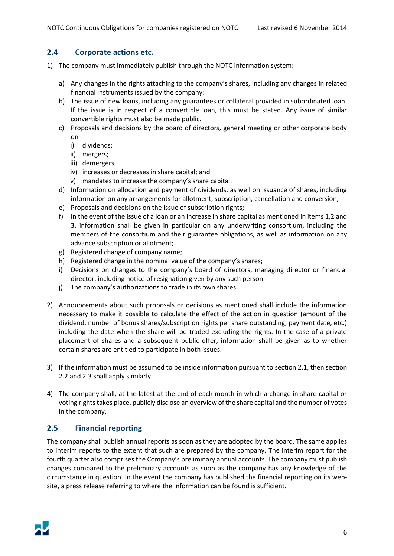#### <span id="page-5-0"></span>**2.4 Corporate actions etc.**

- 1) The company must immediately publish through the NOTC information system:
	- a) Any changes in the rights attaching to the company's shares, including any changes in related financial instruments issued by the company:
	- b) The issue of new loans, including any guarantees or collateral provided in subordinated loan. If the issue is in respect of a convertible loan, this must be stated. Any issue of similar convertible rights must also be made public.
	- c) Proposals and decisions by the board of directors, general meeting or other corporate body on
		- i) dividends;
		- ii) mergers;
		- iii) demergers;
		- iv) increases or decreases in share capital; and
		- v) mandates to increase the company's share capital.
	- d) Information on allocation and payment of dividends, as well on issuance of shares, including information on any arrangements for allotment, subscription, cancellation and conversion;
	- e) Proposals and decisions on the issue of subscription rights;
	- f) In the event of the issue of a loan or an increase in share capital as mentioned in items 1,2 and 3, information shall be given in particular on any underwriting consortium, including the members of the consortium and their guarantee obligations, as well as information on any advance subscription or allotment;
	- g) Registered change of company name;
	- h) Registered change in the nominal value of the company's shares;
	- i) Decisions on changes to the company's board of directors, managing director or financial director, including notice of resignation given by any such person.
	- j) The company's authorizations to trade in its own shares.
- 2) Announcements about such proposals or decisions as mentioned shall include the information necessary to make it possible to calculate the effect of the action in question (amount of the dividend, number of bonus shares/subscription rights per share outstanding, payment date, etc.) including the date when the share will be traded excluding the rights. In the case of a private placement of shares and a subsequent public offer, information shall be given as to whether certain shares are entitled to participate in both issues.
- 3) If the information must be assumed to be inside information pursuant to section [2.1,](#page-4-1) then section [2.2](#page-4-2) an[d 2.3](#page-4-3) shall apply similarly.
- 4) The company shall, at the latest at the end of each month in which a change in share capital or voting rights takes place, publicly disclose an overview of the share capital and the number of votes in the company.

### <span id="page-5-1"></span>**2.5 Financial reporting**

The company shall publish annual reports as soon as they are adopted by the board. The same applies to interim reports to the extent that such are prepared by the company. The interim report for the fourth quarter also comprises the Company's preliminary annual accounts. The company must publish changes compared to the preliminary accounts as soon as the company has any knowledge of the circumstance in question. In the event the company has published the financial reporting on its website, a press release referring to where the information can be found is sufficient.

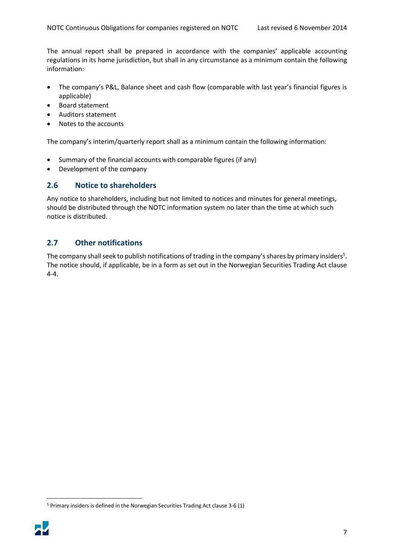The annual report shall be prepared in accordance with the companies' applicable accounting regulations in its home jurisdiction, but shall in any circumstance as a minimum contain the following information:

- The company's P&L, Balance sheet and cash flow (comparable with last year's financial figures is applicable)
- Board statement
- Auditors statement
- Notes to the accounts

The company's interim/quarterly report shall as a minimum contain the following information:

- Summary of the financial accounts with comparable figures (if any)
- Development of the company

### <span id="page-6-0"></span>**2.6 Notice to shareholders**

Any notice to shareholders, including but not limited to notices and minutes for general meetings, should be distributed through the NOTC information system no later than the time at which such notice is distributed.

### <span id="page-6-1"></span>**2.7 Other notifications**

The company shall seek to publish notifications of trading in the company's shares by primary insiders<sup>5</sup>. The notice should, if applicable, be in a form as set out in the Norwegian Securities Trading Act clause 4-4.

<sup>5</sup> Primary insiders is defined in the Norwegian Securities Trading Act clause 3-6 (1)



 $\overline{a}$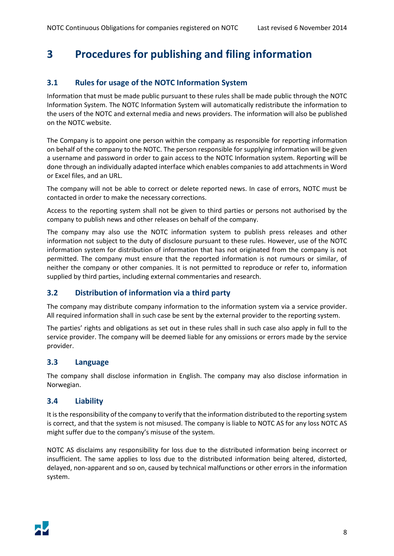# <span id="page-7-0"></span>**3 Procedures for publishing and filing information**

### <span id="page-7-1"></span>**3.1 Rules for usage of the NOTC Information System**

Information that must be made public pursuant to these rules shall be made public through the NOTC Information System. The NOTC Information System will automatically redistribute the information to the users of the NOTC and external media and news providers. The information will also be published on the NOTC website.

The Company is to appoint one person within the company as responsible for reporting information on behalf of the company to the NOTC. The person responsible for supplying information will be given a username and password in order to gain access to the NOTC Information system. Reporting will be done through an individually adapted interface which enables companies to add attachments in Word or Excel files, and an URL.

The company will not be able to correct or delete reported news. In case of errors, NOTC must be contacted in order to make the necessary corrections.

Access to the reporting system shall not be given to third parties or persons not authorised by the company to publish news and other releases on behalf of the company.

The company may also use the NOTC information system to publish press releases and other information not subject to the duty of disclosure pursuant to these rules. However, use of the NOTC information system for distribution of information that has not originated from the company is not permitted. The company must ensure that the reported information is not rumours or similar, of neither the company or other companies. It is not permitted to reproduce or refer to, information supplied by third parties, including external commentaries and research.

### <span id="page-7-2"></span>**3.2 Distribution of information via a third party**

The company may distribute company information to the information system via a service provider. All required information shall in such case be sent by the external provider to the reporting system.

The parties' rights and obligations as set out in these rules shall in such case also apply in full to the service provider. The company will be deemed liable for any omissions or errors made by the service provider.

### <span id="page-7-3"></span>**3.3 Language**

The company shall disclose information in English. The company may also disclose information in Norwegian.

#### <span id="page-7-4"></span>**3.4 Liability**

It is the responsibility of the company to verify that the information distributed to the reporting system is correct, and that the system is not misused. The company is liable to NOTC AS for any loss NOTC AS might suffer due to the company's misuse of the system.

NOTC AS disclaims any responsibility for loss due to the distributed information being incorrect or insufficient. The same applies to loss due to the distributed information being altered, distorted, delayed, non-apparent and so on, caused by technical malfunctions or other errors in the information system.

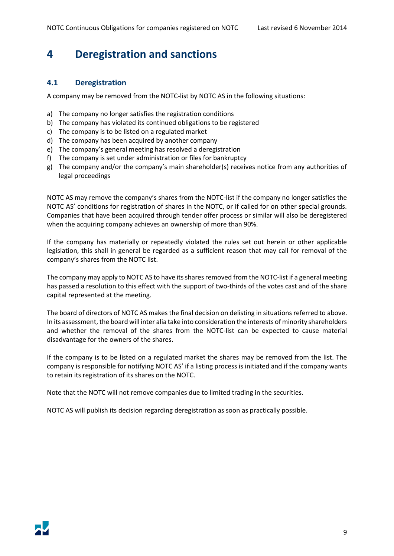# <span id="page-8-0"></span>**4 Deregistration and sanctions**

### <span id="page-8-1"></span>**4.1 Deregistration**

A company may be removed from the NOTC-list by NOTC AS in the following situations:

- a) The company no longer satisfies the registration conditions
- b) The company has violated its continued obligations to be registered
- c) The company is to be listed on a regulated market
- d) The company has been acquired by another company
- e) The company's general meeting has resolved a deregistration
- f) The company is set under administration or files for bankruptcy
- g) The company and/or the company's main shareholder(s) receives notice from any authorities of legal proceedings

NOTC AS may remove the company's shares from the NOTC-list if the company no longer satisfies the NOTC AS' conditions for registration of shares in the NOTC, or if called for on other special grounds. Companies that have been acquired through tender offer process or similar will also be deregistered when the acquiring company achieves an ownership of more than 90%.

If the company has materially or repeatedly violated the rules set out herein or other applicable legislation, this shall in general be regarded as a sufficient reason that may call for removal of the company's shares from the NOTC list.

The company may apply to NOTC AS to have its shares removed from the NOTC-list if a general meeting has passed a resolution to this effect with the support of two-thirds of the votes cast and of the share capital represented at the meeting.

The board of directors of NOTC AS makes the final decision on delisting in situations referred to above. In its assessment, the board will inter alia take into consideration the interests of minority shareholders and whether the removal of the shares from the NOTC-list can be expected to cause material disadvantage for the owners of the shares.

If the company is to be listed on a regulated market the shares may be removed from the list. The company is responsible for notifying NOTC AS' if a listing process is initiated and if the company wants to retain its registration of its shares on the NOTC.

Note that the NOTC will not remove companies due to limited trading in the securities.

NOTC AS will publish its decision regarding deregistration as soon as practically possible.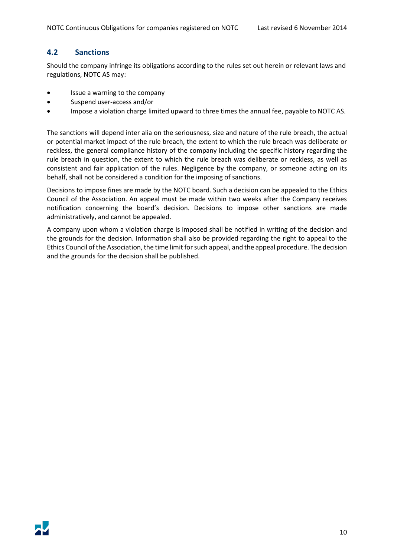### <span id="page-9-0"></span>**4.2 Sanctions**

Should the company infringe its obligations according to the rules set out herein or relevant laws and regulations, NOTC AS may:

- Issue a warning to the company
- Suspend user-access and/or
- Impose a violation charge limited upward to three times the annual fee, payable to NOTC AS.

The sanctions will depend inter alia on the seriousness, size and nature of the rule breach, the actual or potential market impact of the rule breach, the extent to which the rule breach was deliberate or reckless, the general compliance history of the company including the specific history regarding the rule breach in question, the extent to which the rule breach was deliberate or reckless, as well as consistent and fair application of the rules. Negligence by the company, or someone acting on its behalf, shall not be considered a condition for the imposing of sanctions.

Decisions to impose fines are made by the NOTC board. Such a decision can be appealed to the Ethics Council of the Association. An appeal must be made within two weeks after the Company receives notification concerning the board's decision. Decisions to impose other sanctions are made administratively, and cannot be appealed.

A company upon whom a violation charge is imposed shall be notified in writing of the decision and the grounds for the decision. Information shall also be provided regarding the right to appeal to the Ethics Council of the Association, the time limit for such appeal, and the appeal procedure. The decision and the grounds for the decision shall be published.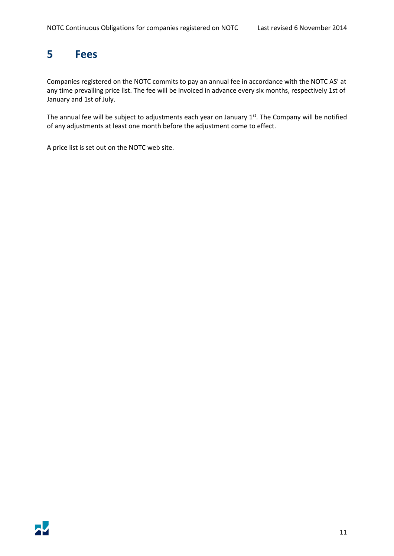# <span id="page-10-0"></span>**5 Fees**

Companies registered on the NOTC commits to pay an annual fee in accordance with the NOTC AS' at any time prevailing price list. The fee will be invoiced in advance every six months, respectively 1st of January and 1st of July.

The annual fee will be subject to adjustments each year on January  $1<sup>st</sup>$ . The Company will be notified of any adjustments at least one month before the adjustment come to effect.

A price list is set out on the NOTC web site.